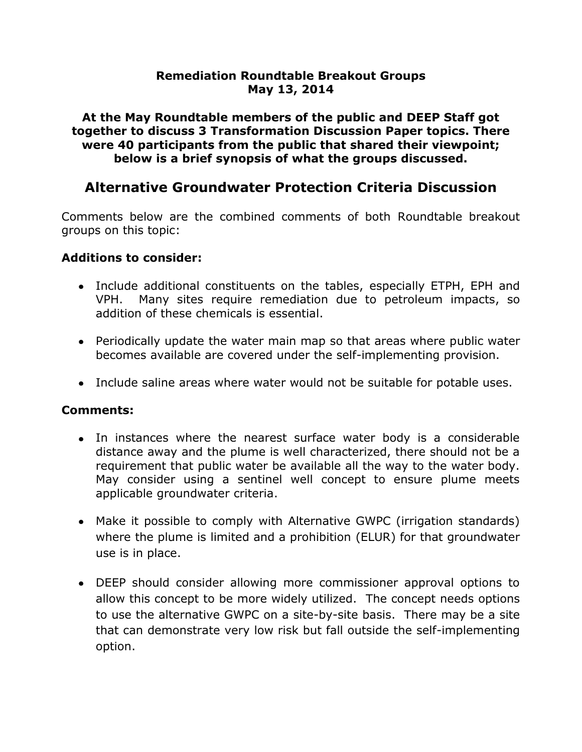#### **Remediation Roundtable Breakout Groups May 13, 2014**

**At the May Roundtable members of the public and DEEP Staff got together to discuss 3 Transformation Discussion Paper topics. There were 40 participants from the public that shared their viewpoint; below is a brief synopsis of what the groups discussed.**

# **Alternative Groundwater Protection Criteria Discussion**

Comments below are the combined comments of both Roundtable breakout groups on this topic:

#### **Additions to consider:**

- Include additional constituents on the tables, especially ETPH, EPH and VPH. Many sites require remediation due to petroleum impacts, so addition of these chemicals is essential.
- Periodically update the water main map so that areas where public water becomes available are covered under the self-implementing provision.
- Include saline areas where water would not be suitable for potable uses.

#### **Comments:**

- In instances where the nearest surface water body is a considerable distance away and the plume is well characterized, there should not be a requirement that public water be available all the way to the water body. May consider using a sentinel well concept to ensure plume meets applicable groundwater criteria.
- Make it possible to comply with Alternative GWPC (irrigation standards) where the plume is limited and a prohibition (ELUR) for that groundwater use is in place.
- DEEP should consider allowing more commissioner approval options to allow this concept to be more widely utilized. The concept needs options to use the alternative GWPC on a site-by-site basis. There may be a site that can demonstrate very low risk but fall outside the self-implementing option.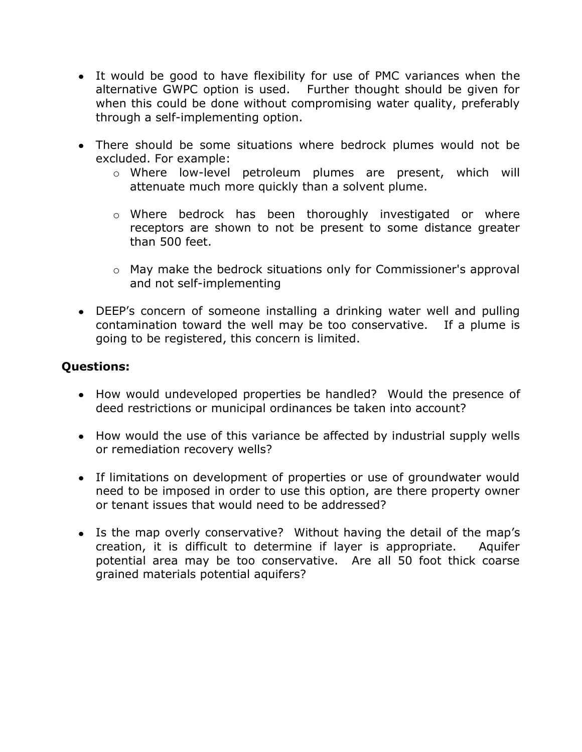- It would be good to have flexibility for use of PMC variances when the alternative GWPC option is used. Further thought should be given for when this could be done without compromising water quality, preferably through a self-implementing option.
- There should be some situations where bedrock plumes would not be excluded. For example:
	- o Where low-level petroleum plumes are present, which will attenuate much more quickly than a solvent plume.
	- o Where bedrock has been thoroughly investigated or where receptors are shown to not be present to some distance greater than 500 feet.
	- o May make the bedrock situations only for Commissioner's approval and not self-implementing
- DEEP's concern of someone installing a drinking water well and pulling contamination toward the well may be too conservative. If a plume is going to be registered, this concern is limited.

#### **Questions:**

- How would undeveloped properties be handled? Would the presence of deed restrictions or municipal ordinances be taken into account?
- How would the use of this variance be affected by industrial supply wells or remediation recovery wells?
- If limitations on development of properties or use of groundwater would need to be imposed in order to use this option, are there property owner or tenant issues that would need to be addressed?
- Is the map overly conservative? Without having the detail of the map's creation, it is difficult to determine if layer is appropriate. Aquifer potential area may be too conservative. Are all 50 foot thick coarse grained materials potential aquifers?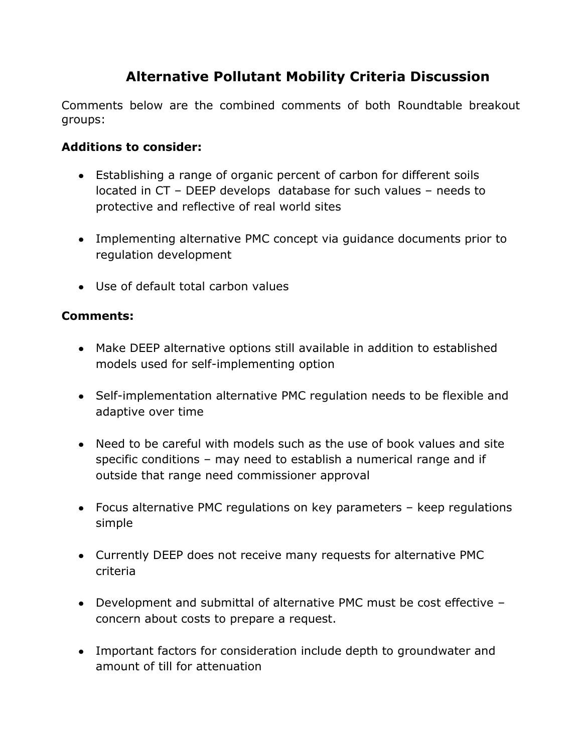# **Alternative Pollutant Mobility Criteria Discussion**

Comments below are the combined comments of both Roundtable breakout groups:

## **Additions to consider:**

- Establishing a range of organic percent of carbon for different soils located in CT – DEEP develops database for such values – needs to protective and reflective of real world sites
- Implementing alternative PMC concept via guidance documents prior to regulation development
- Use of default total carbon values

#### **Comments:**

- Make DEEP alternative options still available in addition to established models used for self-implementing option
- Self-implementation alternative PMC regulation needs to be flexible and adaptive over time
- Need to be careful with models such as the use of book values and site specific conditions – may need to establish a numerical range and if outside that range need commissioner approval
- Focus alternative PMC regulations on key parameters keep regulations simple
- Currently DEEP does not receive many requests for alternative PMC criteria
- Development and submittal of alternative PMC must be cost effective concern about costs to prepare a request.
- Important factors for consideration include depth to groundwater and amount of till for attenuation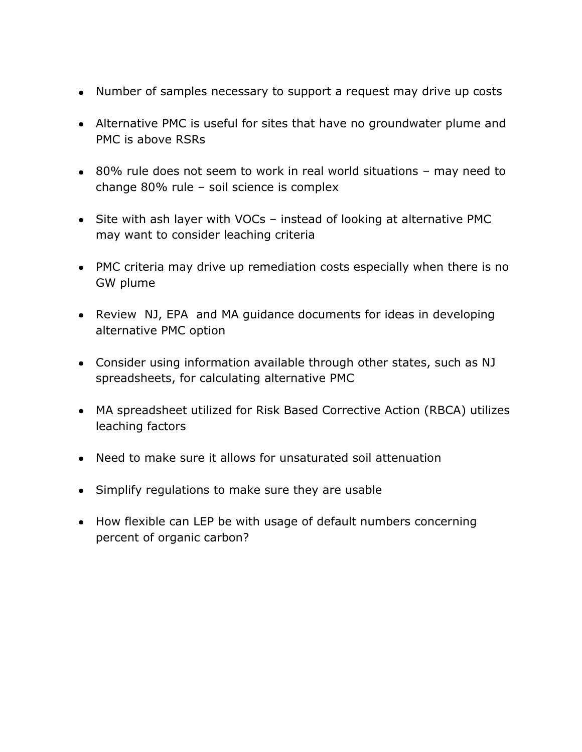- Number of samples necessary to support a request may drive up costs
- Alternative PMC is useful for sites that have no groundwater plume and PMC is above RSRs
- 80% rule does not seem to work in real world situations may need to change 80% rule – soil science is complex
- Site with ash layer with VOCs instead of looking at alternative PMC may want to consider leaching criteria
- PMC criteria may drive up remediation costs especially when there is no GW plume
- Review NJ, EPA and MA quidance documents for ideas in developing alternative PMC option
- Consider using information available through other states, such as NJ spreadsheets, for calculating alternative PMC
- MA spreadsheet utilized for Risk Based Corrective Action (RBCA) utilizes leaching factors
- Need to make sure it allows for unsaturated soil attenuation
- Simplify regulations to make sure they are usable
- How flexible can LEP be with usage of default numbers concerning percent of organic carbon?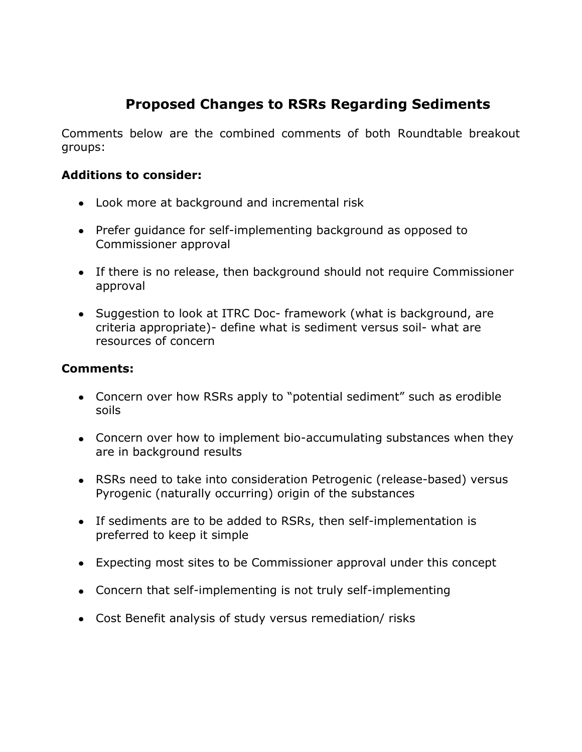# **Proposed Changes to RSRs Regarding Sediments**

Comments below are the combined comments of both Roundtable breakout groups:

#### **Additions to consider:**

- Look more at background and incremental risk
- Prefer guidance for self-implementing background as opposed to Commissioner approval
- If there is no release, then background should not require Commissioner approval
- Suggestion to look at ITRC Doc- framework (what is background, are criteria appropriate)- define what is sediment versus soil- what are resources of concern

#### **Comments:**

- Concern over how RSRs apply to "potential sediment" such as erodible soils
- Concern over how to implement bio-accumulating substances when they are in background results
- RSRs need to take into consideration Petrogenic (release-based) versus Pyrogenic (naturally occurring) origin of the substances
- If sediments are to be added to RSRs, then self-implementation is preferred to keep it simple
- Expecting most sites to be Commissioner approval under this concept
- Concern that self-implementing is not truly self-implementing
- Cost Benefit analysis of study versus remediation/ risks